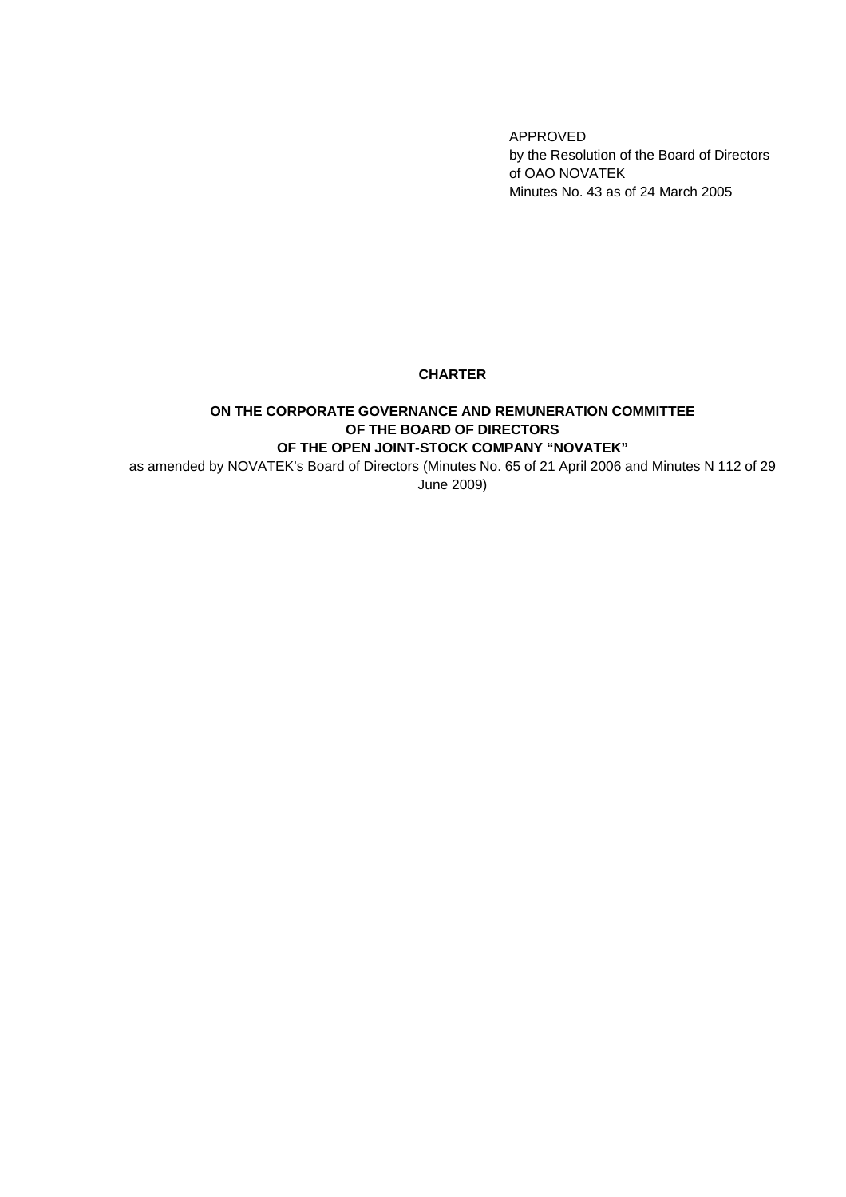APPROVED by the Resolution of the Board of Directors of OAO NOVATEK Minutes No. 43 as of 24 March 2005

## **CHARTER**

## **ON THE CORPORATE GOVERNANCE AND REMUNERATION COMMITTEE OF THE BOARD OF DIRECTORS OF THE OPEN JOINT-STOCK COMPANY "NOVATEK"**

as amended by NOVATEK's Board of Directors (Minutes No. 65 of 21 April 2006 and Minutes N 112 of 29 June 2009)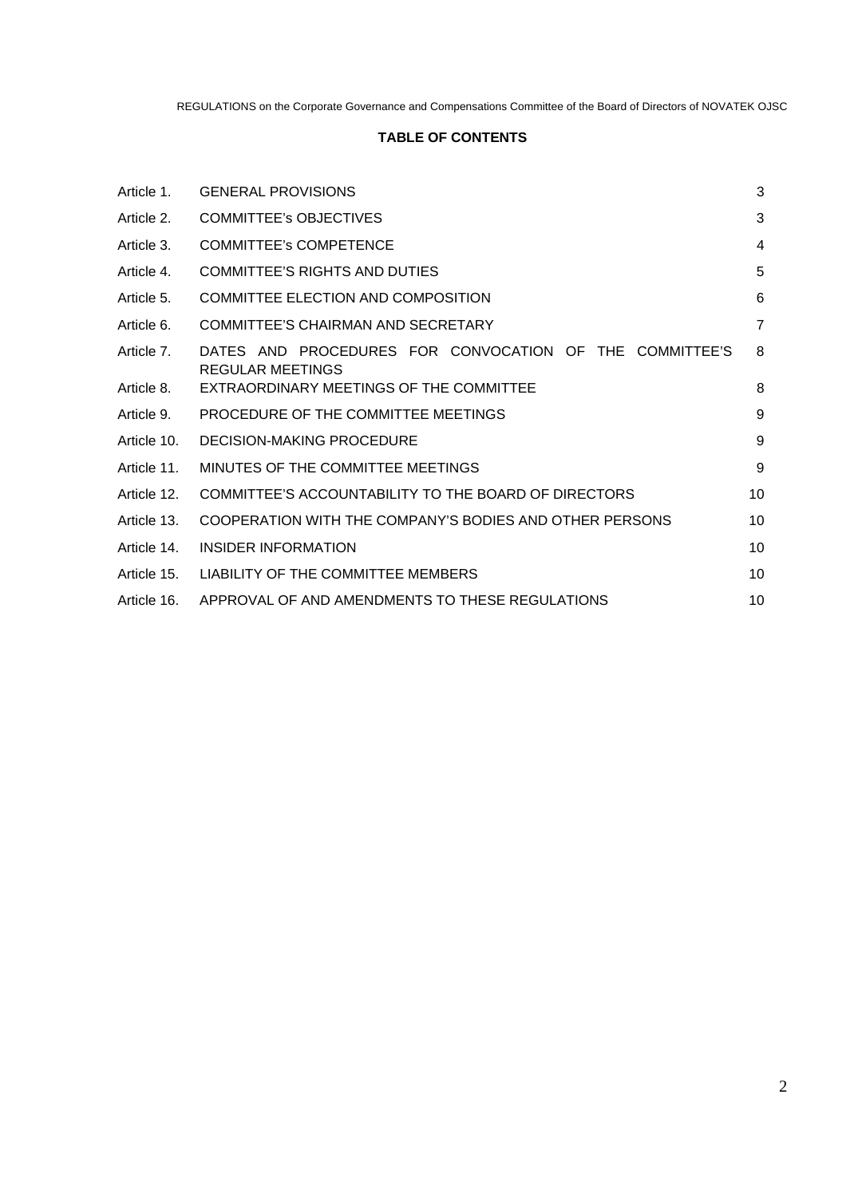# **TABLE OF CONTENTS**

| Article 1.  | <b>GENERAL PROVISIONS</b>                                                          | 3  |
|-------------|------------------------------------------------------------------------------------|----|
| Article 2.  | <b>COMMITTEE's OBJECTIVES</b>                                                      | 3  |
| Article 3.  | <b>COMMITTEE's COMPETENCE</b>                                                      | 4  |
| Article 4.  | <b>COMMITTEE'S RIGHTS AND DUTIES</b>                                               | 5  |
| Article 5.  | <b>COMMITTEE ELECTION AND COMPOSITION</b>                                          | 6  |
| Article 6.  | COMMITTEE'S CHAIRMAN AND SECRETARY                                                 | 7  |
| Article 7.  | DATES AND PROCEDURES FOR CONVOCATION OF THE COMMITTEE'S<br><b>REGULAR MEETINGS</b> | 8  |
| Article 8.  | EXTRAORDINARY MEETINGS OF THE COMMITTEE                                            | 8  |
| Article 9.  | PROCEDURE OF THE COMMITTEE MEETINGS                                                | 9  |
| Article 10. | <b>DECISION-MAKING PROCEDURE</b>                                                   | 9  |
| Article 11. | MINUTES OF THE COMMITTEE MEETINGS                                                  | 9  |
| Article 12. | COMMITTEE'S ACCOUNTABILITY TO THE BOARD OF DIRECTORS                               | 10 |
| Article 13. | COOPERATION WITH THE COMPANY'S BODIES AND OTHER PERSONS                            | 10 |
| Article 14. | INSIDER INFORMATION                                                                | 10 |
| Article 15. | LIABILITY OF THE COMMITTEE MEMBERS                                                 | 10 |
| Article 16. | APPROVAL OF AND AMENDMENTS TO THESE REGULATIONS                                    | 10 |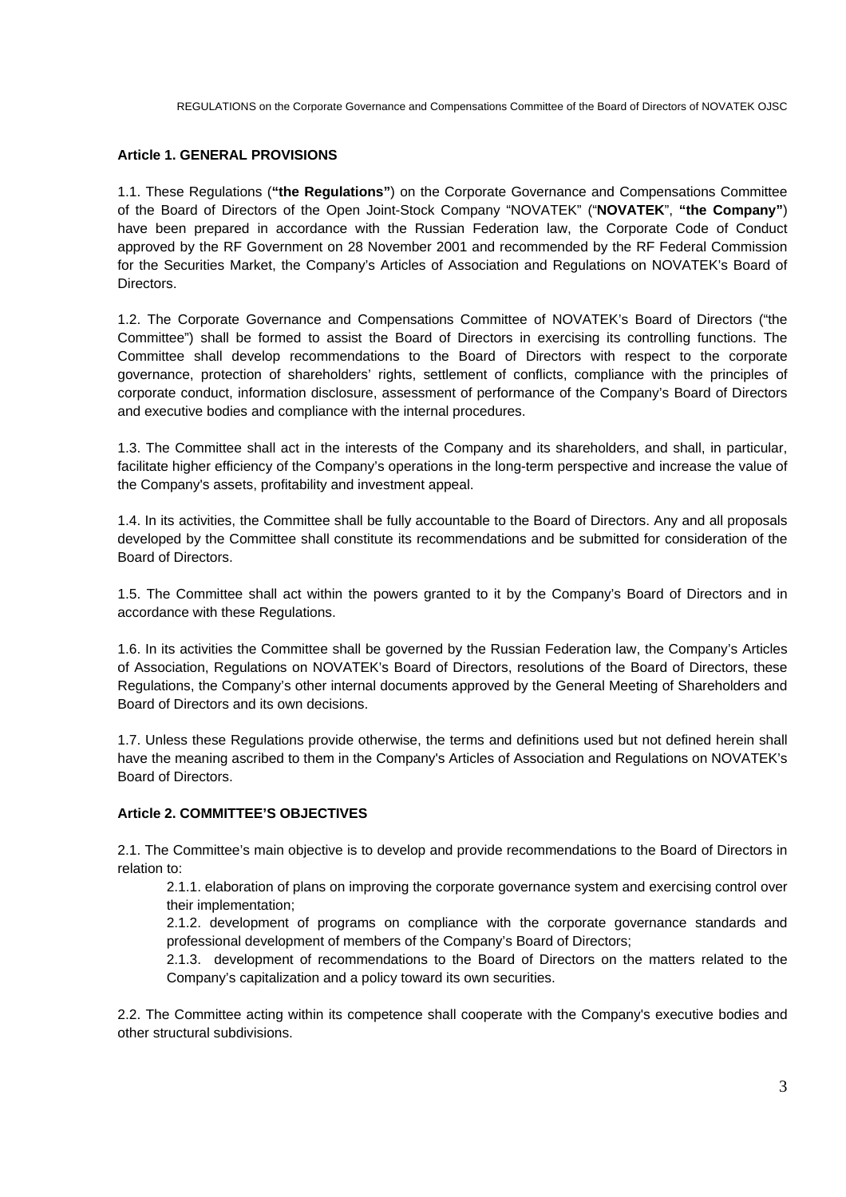## **Article 1. GENERAL PROVISIONS**

1.1. These Regulations (**"the Regulations"**) on the Corporate Governance and Compensations Committee of the Board of Directors of the Open Joint-Stock Company "NOVATEK" ("**NOVATEK**", **"the Company"**) have been prepared in accordance with the Russian Federation law, the Corporate Code of Conduct approved by the RF Government on 28 November 2001 and recommended by the RF Federal Commission for the Securities Market, the Company's Articles of Association and Regulations on NOVATEK's Board of Directors.

1.2. The Corporate Governance and Compensations Committee of NOVATEK's Board of Directors ("the Committee") shall be formed to assist the Board of Directors in exercising its controlling functions. The Committee shall develop recommendations to the Board of Directors with respect to the corporate governance, protection of shareholders' rights, settlement of conflicts, compliance with the principles of corporate conduct, information disclosure, assessment of performance of the Company's Board of Directors and executive bodies and compliance with the internal procedures.

1.3. The Committee shall act in the interests of the Company and its shareholders, and shall, in particular, facilitate higher efficiency of the Company's operations in the long-term perspective and increase the value of the Company's assets, profitability and investment appeal.

1.4. In its activities, the Committee shall be fully accountable to the Board of Directors. Any and all proposals developed by the Committee shall constitute its recommendations and be submitted for consideration of the Board of Directors.

1.5. The Committee shall act within the powers granted to it by the Company's Board of Directors and in accordance with these Regulations.

1.6. In its activities the Committee shall be governed by the Russian Federation law, the Company's Articles of Association, Regulations on NOVATEK's Board of Directors, resolutions of the Board of Directors, these Regulations, the Company's other internal documents approved by the General Meeting of Shareholders and Board of Directors and its own decisions.

1.7. Unless these Regulations provide otherwise, the terms and definitions used but not defined herein shall have the meaning ascribed to them in the Company's Articles of Association and Regulations on NOVATEK's Board of Directors.

## **Article 2. COMMITTEE'S OBJECTIVES**

2.1. The Committee's main objective is to develop and provide recommendations to the Board of Directors in relation to:

2.1.1. elaboration of plans on improving the corporate governance system and exercising control over their implementation;

2.1.2. development of programs on compliance with the corporate governance standards and professional development of members of the Company's Board of Directors;

2.1.3. development of recommendations to the Board of Directors on the matters related to the Company's capitalization and a policy toward its own securities.

2.2. The Committee acting within its competence shall cooperate with the Company's executive bodies and other structural subdivisions.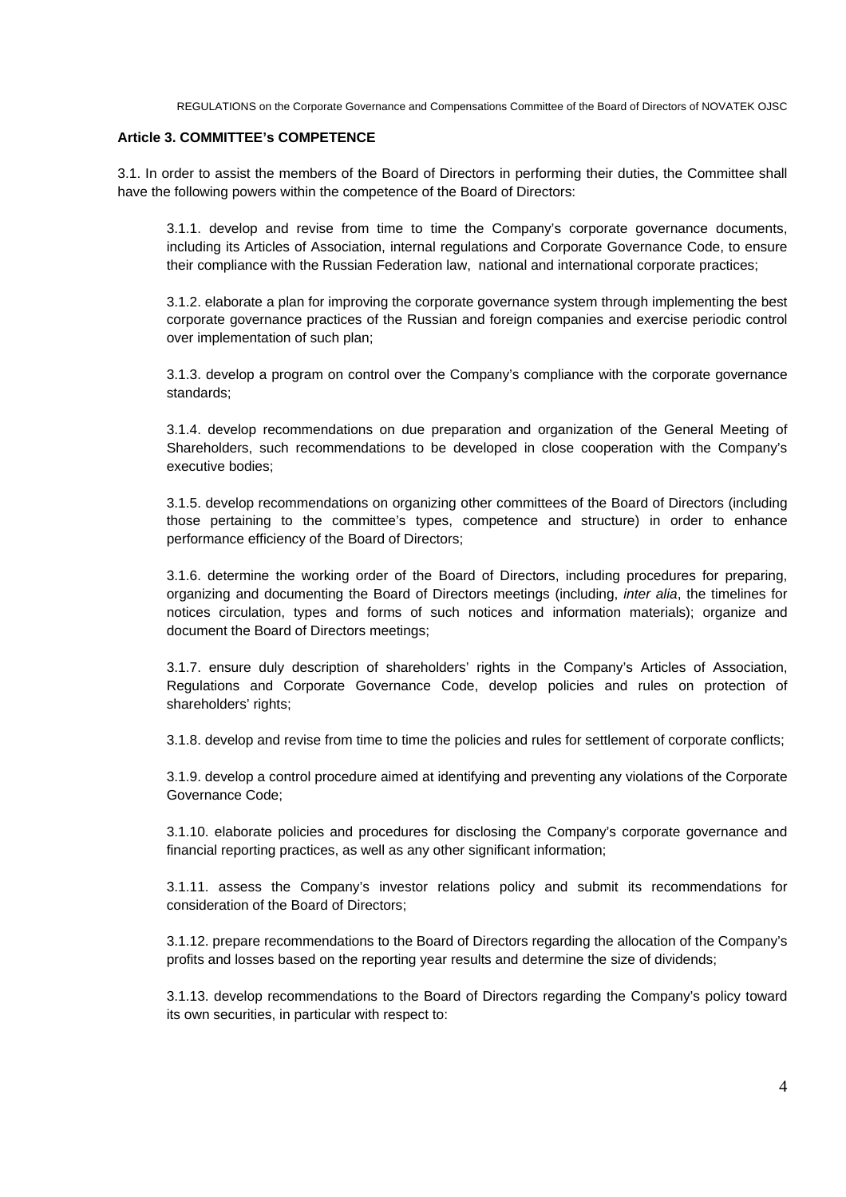#### **Article 3. COMMITTEE's COMPETENCE**

3.1. In order to assist the members of the Board of Directors in performing their duties, the Committee shall have the following powers within the competence of the Board of Directors:

3.1.1. develop and revise from time to time the Company's corporate governance documents, including its Articles of Association, internal regulations and Corporate Governance Code, to ensure their compliance with the Russian Federation law, national and international corporate practices;

3.1.2. elaborate a plan for improving the corporate governance system through implementing the best corporate governance practices of the Russian and foreign companies and exercise periodic control over implementation of such plan;

3.1.3. develop a program on control over the Company's compliance with the corporate governance standards;

3.1.4. develop recommendations on due preparation and organization of the General Meeting of Shareholders, such recommendations to be developed in close cooperation with the Company's executive bodies;

3.1.5. develop recommendations on organizing other committees of the Board of Directors (including those pertaining to the committee's types, competence and structure) in order to enhance performance efficiency of the Board of Directors;

3.1.6. determine the working order of the Board of Directors, including procedures for preparing, organizing and documenting the Board of Directors meetings (including, *inter alia*, the timelines for notices circulation, types and forms of such notices and information materials); organize and document the Board of Directors meetings;

3.1.7. ensure duly description of shareholders' rights in the Company's Articles of Association, Regulations and Corporate Governance Code, develop policies and rules on protection of shareholders' rights;

3.1.8. develop and revise from time to time the policies and rules for settlement of corporate conflicts;

3.1.9. develop a control procedure aimed at identifying and preventing any violations of the Corporate Governance Code;

3.1.10. elaborate policies and procedures for disclosing the Company's corporate governance and financial reporting practices, as well as any other significant information;

3.1.11. assess the Company's investor relations policy and submit its recommendations for consideration of the Board of Directors;

3.1.12. prepare recommendations to the Board of Directors regarding the allocation of the Company's profits and losses based on the reporting year results and determine the size of dividends;

3.1.13. develop recommendations to the Board of Directors regarding the Company's policy toward its own securities, in particular with respect to: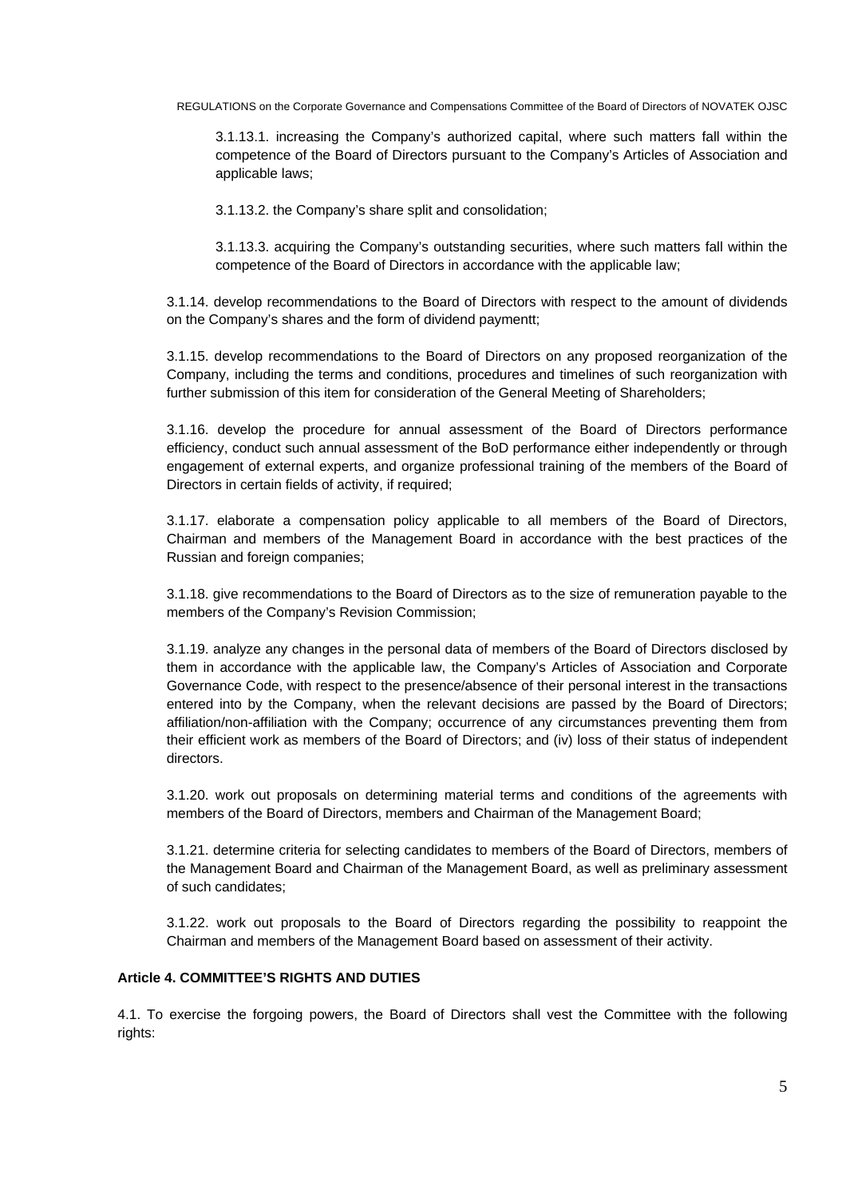3.1.13.1. increasing the Company's authorized capital, where such matters fall within the competence of the Board of Directors pursuant to the Company's Articles of Association and applicable laws;

3.1.13.2. the Company's share split and consolidation;

3.1.13.3. acquiring the Company's outstanding securities, where such matters fall within the competence of the Board of Directors in accordance with the applicable law;

3.1.14. develop recommendations to the Board of Directors with respect to the amount of dividends on the Company's shares and the form of dividend paymentt;

3.1.15. develop recommendations to the Board of Directors on any proposed reorganization of the Company, including the terms and conditions, procedures and timelines of such reorganization with further submission of this item for consideration of the General Meeting of Shareholders;

3.1.16. develop the procedure for annual assessment of the Board of Directors performance efficiency, conduct such annual assessment of the BoD performance either independently or through engagement of external experts, and organize professional training of the members of the Board of Directors in certain fields of activity, if required;

3.1.17. elaborate a compensation policy applicable to all members of the Board of Directors, Chairman and members of the Management Board in accordance with the best practices of the Russian and foreign companies;

3.1.18. give recommendations to the Board of Directors as to the size of remuneration payable to the members of the Company's Revision Commission;

3.1.19. analyze any changes in the personal data of members of the Board of Directors disclosed by them in accordance with the applicable law, the Company's Articles of Association and Corporate Governance Code, with respect to the presence/absence of their personal interest in the transactions entered into by the Company, when the relevant decisions are passed by the Board of Directors; affiliation/non-affiliation with the Company; occurrence of any circumstances preventing them from their efficient work as members of the Board of Directors; and (iv) loss of their status of independent directors.

3.1.20. work out proposals on determining material terms and conditions of the agreements with members of the Board of Directors, members and Chairman of the Management Board;

3.1.21. determine criteria for selecting candidates to members of the Board of Directors, members of the Management Board and Chairman of the Management Board, as well as preliminary assessment of such candidates;

3.1.22. work out proposals to the Board of Directors regarding the possibility to reappoint the Chairman and members of the Management Board based on assessment of their activity.

## **Article 4. COMMITTEE'S RIGHTS AND DUTIES**

4.1. To exercise the forgoing powers, the Board of Directors shall vest the Committee with the following rights: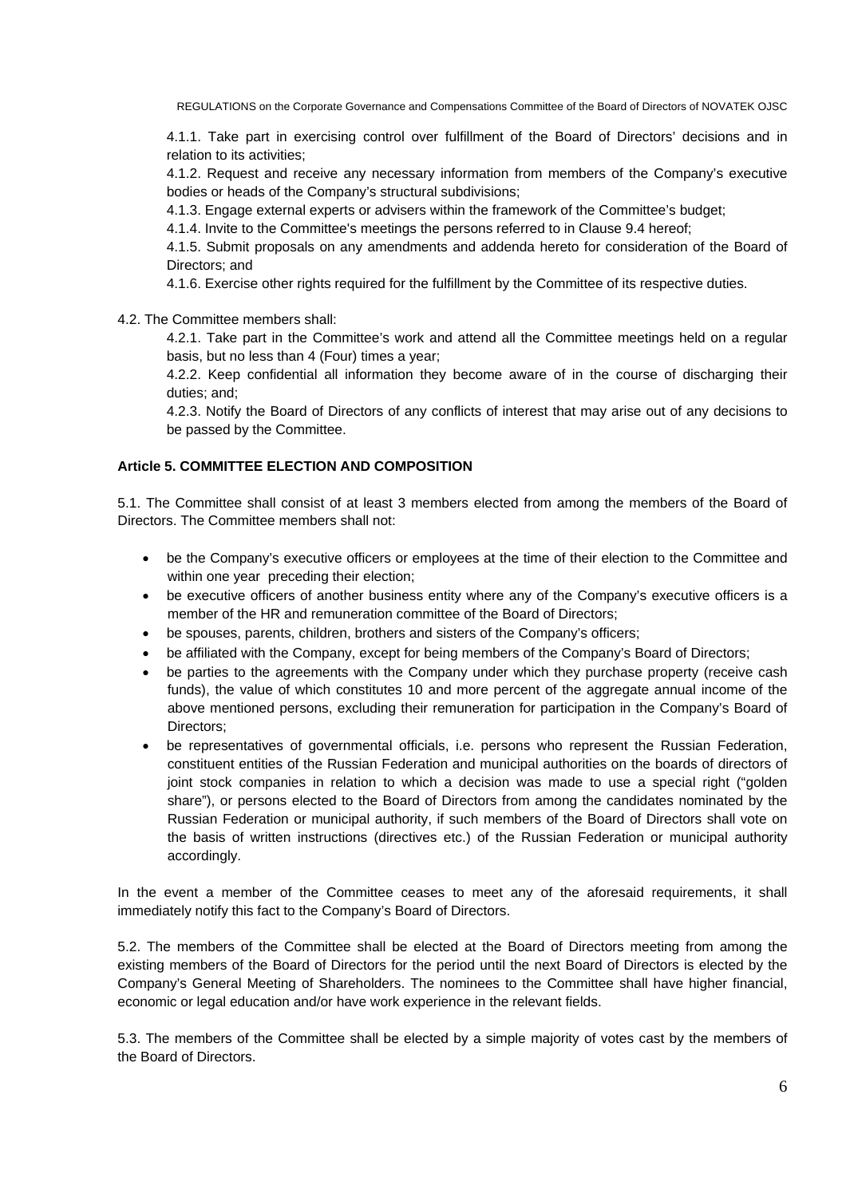4.1.1. Take part in exercising control over fulfillment of the Board of Directors' decisions and in relation to its activities;

4.1.2. Request and receive any necessary information from members of the Company's executive bodies or heads of the Company's structural subdivisions;

4.1.3. Engage external experts or advisers within the framework of the Committee's budget;

4.1.4. Invite to the Committee's meetings the persons referred to in Clause 9.4 hereof;

4.1.5. Submit proposals on any amendments and addenda hereto for consideration of the Board of Directors; and

4.1.6. Exercise other rights required for the fulfillment by the Committee of its respective duties.

4.2. The Committee members shall:

4.2.1. Take part in the Committee's work and attend all the Committee meetings held on a regular basis, but no less than 4 (Four) times a year;

4.2.2. Keep confidential all information they become aware of in the course of discharging their duties; and;

4.2.3. Notify the Board of Directors of any conflicts of interest that may arise out of any decisions to be passed by the Committee.

#### **Article 5. COMMITTEE ELECTION AND COMPOSITION**

5.1. The Committee shall consist of at least 3 members elected from among the members of the Board of Directors. The Committee members shall not:

- be the Company's executive officers or employees at the time of their election to the Committee and within one year preceding their election;
- be executive officers of another business entity where any of the Company's executive officers is a member of the HR and remuneration committee of the Board of Directors;
- be spouses, parents, children, brothers and sisters of the Company's officers;
- be affiliated with the Company, except for being members of the Company's Board of Directors;
- be parties to the agreements with the Company under which they purchase property (receive cash funds), the value of which constitutes 10 and more percent of the aggregate annual income of the above mentioned persons, excluding their remuneration for participation in the Company's Board of Directors:
- be representatives of governmental officials, i.e. persons who represent the Russian Federation, constituent entities of the Russian Federation and municipal authorities on the boards of directors of joint stock companies in relation to which a decision was made to use a special right ("golden share"), or persons elected to the Board of Directors from among the candidates nominated by the Russian Federation or municipal authority, if such members of the Board of Directors shall vote on the basis of written instructions (directives etc.) of the Russian Federation or municipal authority accordingly.

In the event a member of the Committee ceases to meet any of the aforesaid requirements, it shall immediately notify this fact to the Company's Board of Directors.

5.2. The members of the Committee shall be elected at the Board of Directors meeting from among the existing members of the Board of Directors for the period until the next Board of Directors is elected by the Company's General Meeting of Shareholders. The nominees to the Committee shall have higher financial, economic or legal education and/or have work experience in the relevant fields.

5.3. The members of the Committee shall be elected by a simple majority of votes cast by the members of the Board of Directors.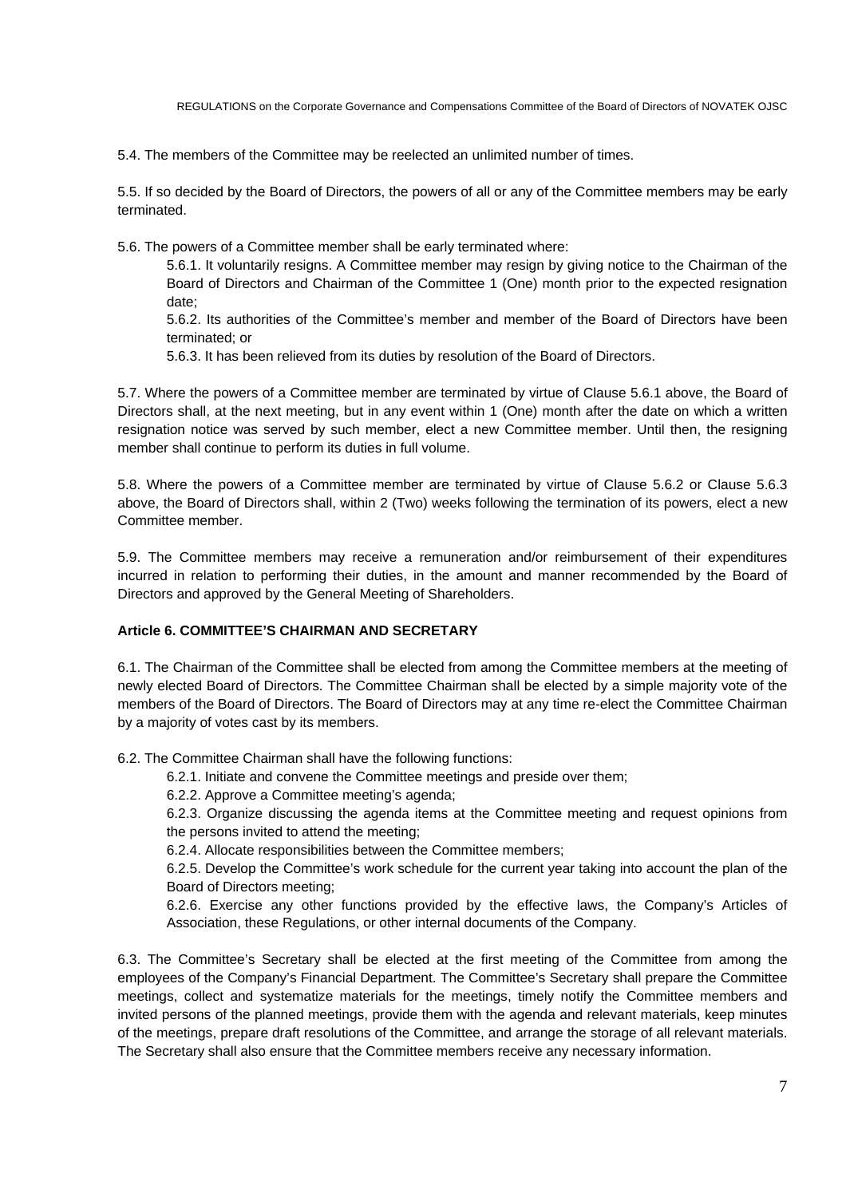5.4. The members of the Committee may be reelected an unlimited number of times.

5.5. If so decided by the Board of Directors, the powers of all or any of the Committee members may be early terminated.

5.6. The powers of a Committee member shall be early terminated where:

5.6.1. It voluntarily resigns. A Committee member may resign by giving notice to the Chairman of the Board of Directors and Chairman of the Committee 1 (One) month prior to the expected resignation date;

5.6.2. Its authorities of the Committee's member and member of the Board of Directors have been terminated; or

5.6.3. It has been relieved from its duties by resolution of the Board of Directors.

5.7. Where the powers of a Committee member are terminated by virtue of Clause 5.6.1 above, the Board of Directors shall, at the next meeting, but in any event within 1 (One) month after the date on which a written resignation notice was served by such member, elect a new Committee member. Until then, the resigning member shall continue to perform its duties in full volume.

5.8. Where the powers of a Committee member are terminated by virtue of Clause 5.6.2 or Clause 5.6.3 above, the Board of Directors shall, within 2 (Two) weeks following the termination of its powers, elect a new Committee member.

5.9. The Committee members may receive a remuneration and/or reimbursement of their expenditures incurred in relation to performing their duties, in the amount and manner recommended by the Board of Directors and approved by the General Meeting of Shareholders.

## **Article 6. COMMITTEE'S CHAIRMAN AND SECRETARY**

6.1. The Chairman of the Committee shall be elected from among the Committee members at the meeting of newly elected Board of Directors. The Committee Chairman shall be elected by a simple majority vote of the members of the Board of Directors. The Board of Directors may at any time re-elect the Committee Chairman by a majority of votes cast by its members.

6.2. The Committee Chairman shall have the following functions:

6.2.1. Initiate and convene the Committee meetings and preside over them;

6.2.2. Approve a Committee meeting's agenda;

6.2.3. Organize discussing the agenda items at the Committee meeting and request opinions from the persons invited to attend the meeting;

6.2.4. Allocate responsibilities between the Committee members;

6.2.5. Develop the Committee's work schedule for the current year taking into account the plan of the Board of Directors meeting;

6.2.6. Exercise any other functions provided by the effective laws, the Company's Articles of Association, these Regulations, or other internal documents of the Company.

6.3. The Committee's Secretary shall be elected at the first meeting of the Committee from among the employees of the Company's Financial Department. The Committee's Secretary shall prepare the Committee meetings, collect and systematize materials for the meetings, timely notify the Committee members and invited persons of the planned meetings, provide them with the agenda and relevant materials, keep minutes of the meetings, prepare draft resolutions of the Committee, and arrange the storage of all relevant materials. The Secretary shall also ensure that the Committee members receive any necessary information.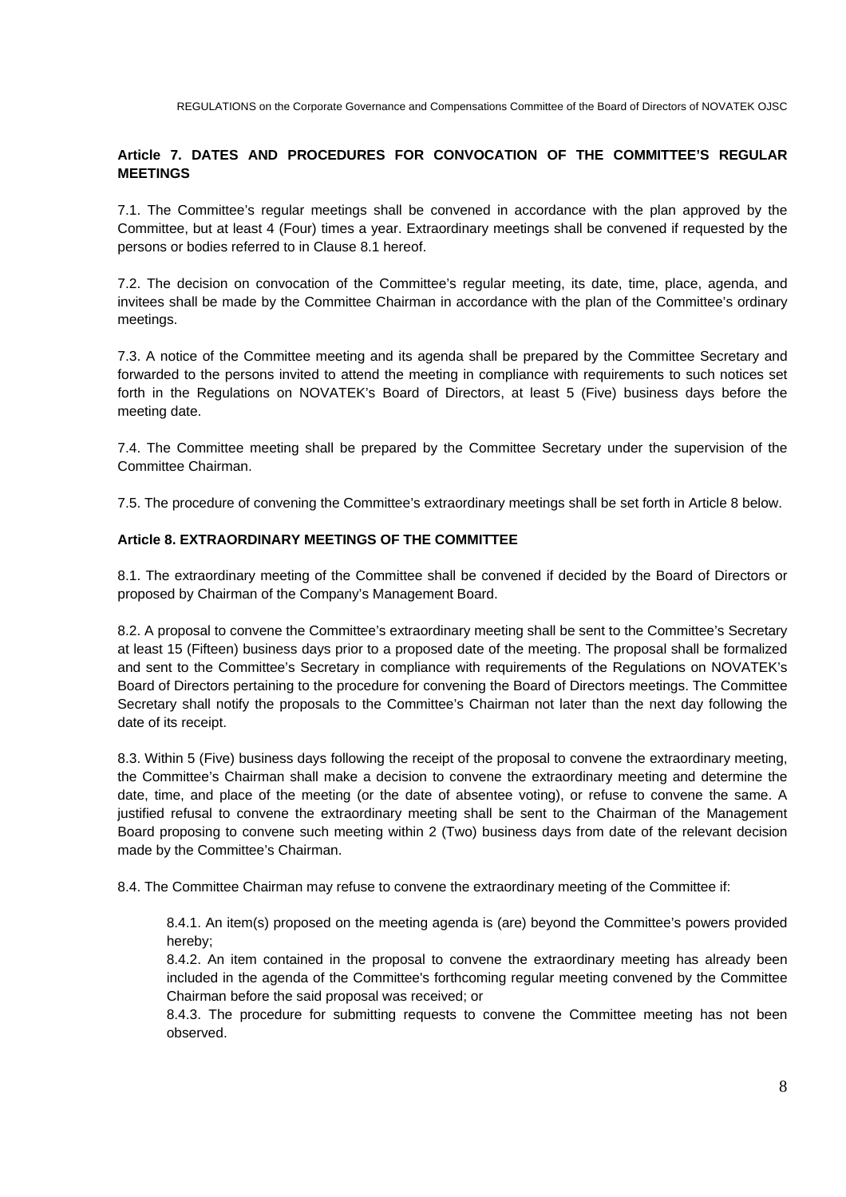# **Article 7. DATES AND PROCEDURES FOR CONVOCATION OF THE COMMITTEE'S REGULAR MEETINGS**

7.1. The Committee's regular meetings shall be convened in accordance with the plan approved by the Committee, but at least 4 (Four) times a year. Extraordinary meetings shall be convened if requested by the persons or bodies referred to in Clause 8.1 hereof.

7.2. The decision on convocation of the Committee's regular meeting, its date, time, place, agenda, and invitees shall be made by the Committee Chairman in accordance with the plan of the Committee's ordinary meetings.

7.3. A notice of the Committee meeting and its agenda shall be prepared by the Committee Secretary and forwarded to the persons invited to attend the meeting in compliance with requirements to such notices set forth in the Regulations on NOVATEK's Board of Directors, at least 5 (Five) business days before the meeting date.

7.4. The Committee meeting shall be prepared by the Committee Secretary under the supervision of the Committee Chairman.

7.5. The procedure of convening the Committee's extraordinary meetings shall be set forth in Article 8 below.

## **Article 8. EXTRAORDINARY MEETINGS OF THE COMMITTEE**

8.1. The extraordinary meeting of the Committee shall be convened if decided by the Board of Directors or proposed by Chairman of the Company's Management Board.

8.2. A proposal to convene the Committee's extraordinary meeting shall be sent to the Committee's Secretary at least 15 (Fifteen) business days prior to a proposed date of the meeting. The proposal shall be formalized and sent to the Committee's Secretary in compliance with requirements of the Regulations on NOVATEK's Board of Directors pertaining to the procedure for convening the Board of Directors meetings. The Committee Secretary shall notify the proposals to the Committee's Chairman not later than the next day following the date of its receipt.

8.3. Within 5 (Five) business days following the receipt of the proposal to convene the extraordinary meeting, the Committee's Chairman shall make a decision to convene the extraordinary meeting and determine the date, time, and place of the meeting (or the date of absentee voting), or refuse to convene the same. A justified refusal to convene the extraordinary meeting shall be sent to the Chairman of the Management Board proposing to convene such meeting within 2 (Two) business days from date of the relevant decision made by the Committee's Chairman.

8.4. The Committee Chairman may refuse to convene the extraordinary meeting of the Committee if:

8.4.1. An item(s) proposed on the meeting agenda is (are) beyond the Committee's powers provided hereby;

8.4.2. An item contained in the proposal to convene the extraordinary meeting has already been included in the agenda of the Committee's forthcoming regular meeting convened by the Committee Chairman before the said proposal was received; or

8.4.3. The procedure for submitting requests to convene the Committee meeting has not been observed.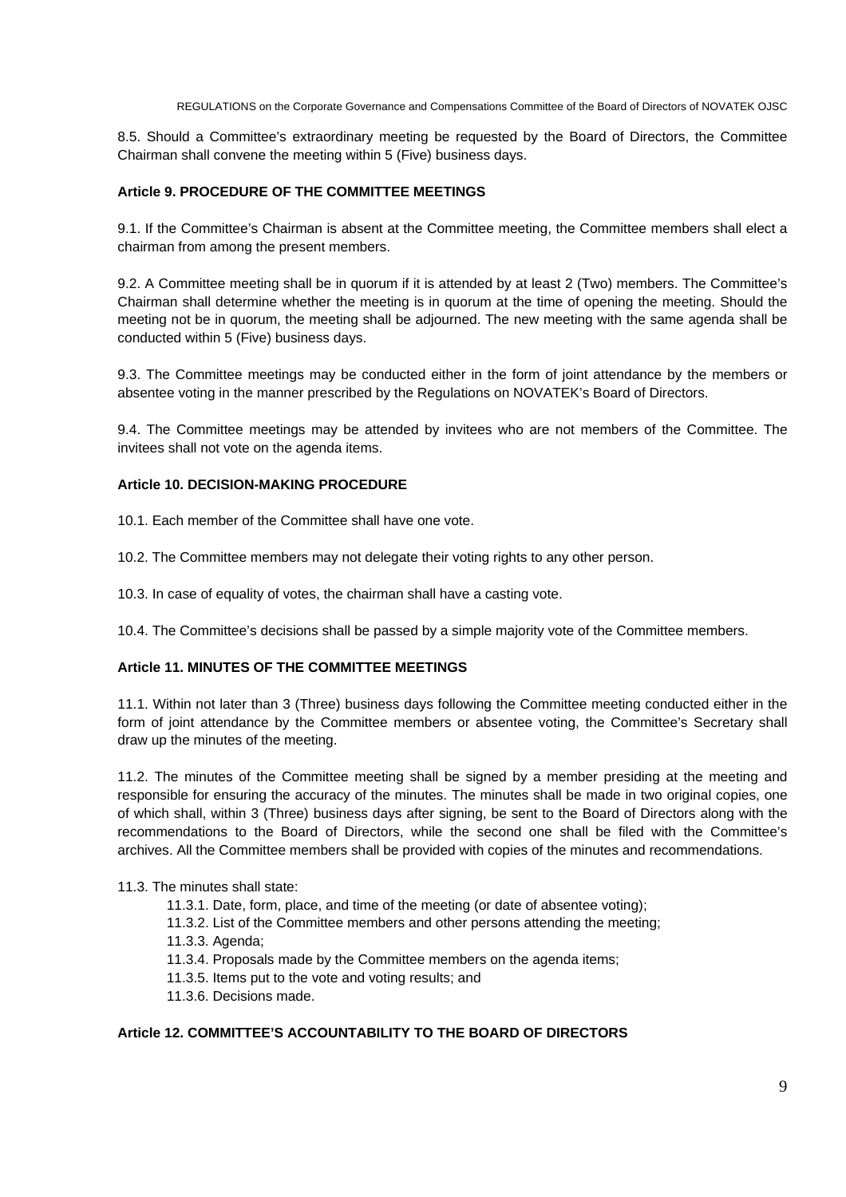8.5. Should a Committee's extraordinary meeting be requested by the Board of Directors, the Committee Chairman shall convene the meeting within 5 (Five) business days.

## **Article 9. PROCEDURE OF THE COMMITTEE MEETINGS**

9.1. If the Committee's Chairman is absent at the Committee meeting, the Committee members shall elect a chairman from among the present members.

9.2. A Committee meeting shall be in quorum if it is attended by at least 2 (Two) members. The Committee's Chairman shall determine whether the meeting is in quorum at the time of opening the meeting. Should the meeting not be in quorum, the meeting shall be adjourned. The new meeting with the same agenda shall be conducted within 5 (Five) business days.

9.3. The Committee meetings may be conducted either in the form of joint attendance by the members or absentee voting in the manner prescribed by the Regulations on NOVATEK's Board of Directors.

9.4. The Committee meetings may be attended by invitees who are not members of the Committee. The invitees shall not vote on the agenda items.

#### **Article 10. DECISION-MAKING PROCEDURE**

10.1. Each member of the Committee shall have one vote.

10.2. The Committee members may not delegate their voting rights to any other person.

10.3. In case of equality of votes, the chairman shall have a casting vote.

10.4. The Committee's decisions shall be passed by a simple majority vote of the Committee members.

## **Article 11. MINUTES OF THE COMMITTEE MEETINGS**

11.1. Within not later than 3 (Three) business days following the Committee meeting conducted either in the form of joint attendance by the Committee members or absentee voting, the Committee's Secretary shall draw up the minutes of the meeting.

11.2. The minutes of the Committee meeting shall be signed by a member presiding at the meeting and responsible for ensuring the accuracy of the minutes. The minutes shall be made in two original copies, one of which shall, within 3 (Three) business days after signing, be sent to the Board of Directors along with the recommendations to the Board of Directors, while the second one shall be filed with the Committee's archives. All the Committee members shall be provided with copies of the minutes and recommendations.

#### 11.3. The minutes shall state:

11.3.1. Date, form, place, and time of the meeting (or date of absentee voting);

11.3.2. List of the Committee members and other persons attending the meeting;

11.3.3. Agenda;

11.3.4. Proposals made by the Committee members on the agenda items;

11.3.5. Items put to the vote and voting results; and

11.3.6. Decisions made.

## **Article 12. COMMITTEE'S ACCOUNTABILITY TO THE BOARD OF DIRECTORS**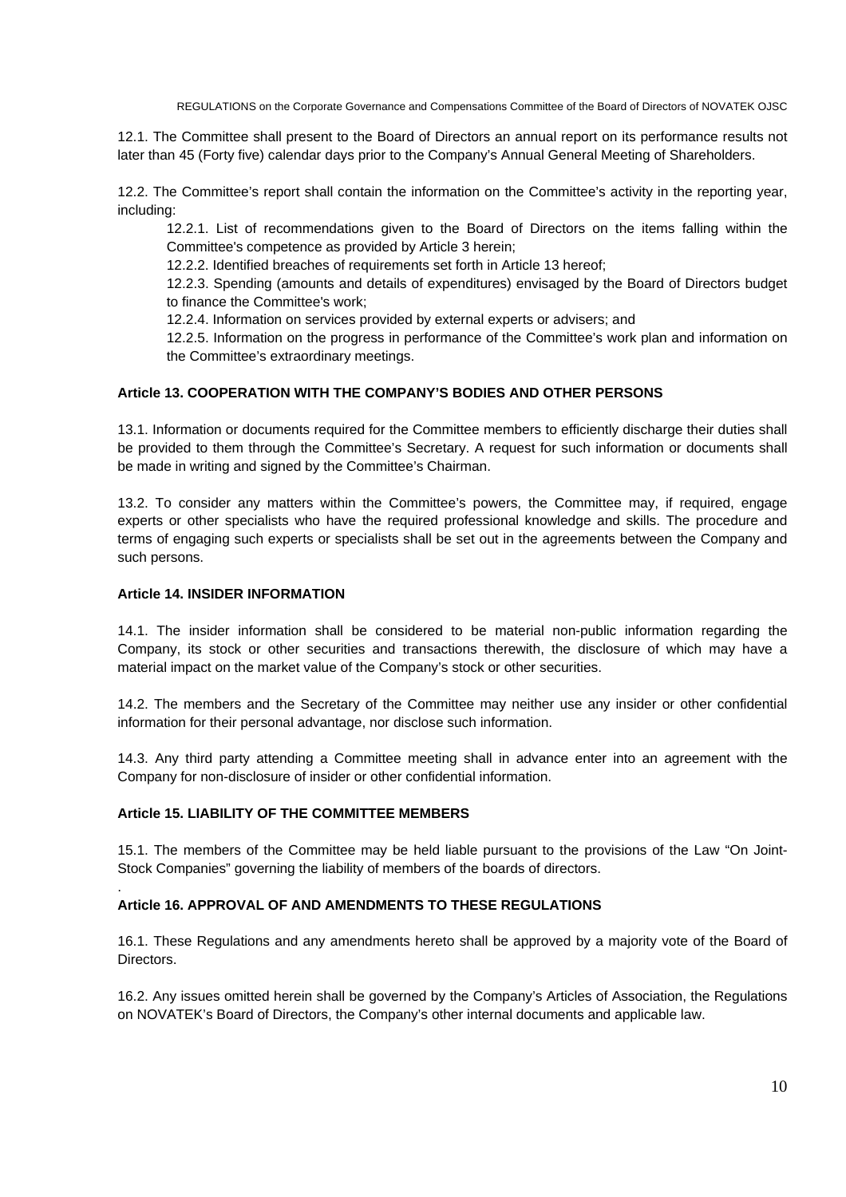12.1. The Committee shall present to the Board of Directors an annual report on its performance results not later than 45 (Forty five) calendar days prior to the Company's Annual General Meeting of Shareholders.

12.2. The Committee's report shall contain the information on the Committee's activity in the reporting year, including:

12.2.1. List of recommendations given to the Board of Directors on the items falling within the Committee's competence as provided by Article 3 herein;

12.2.2. Identified breaches of requirements set forth in Article 13 hereof;

12.2.3. Spending (amounts and details of expenditures) envisaged by the Board of Directors budget to finance the Committee's work;

12.2.4. Information on services provided by external experts or advisers; and

12.2.5. Information on the progress in performance of the Committee's work plan and information on the Committee's extraordinary meetings.

#### **Article 13. COOPERATION WITH THE COMPANY'S BODIES AND OTHER PERSONS**

13.1. Information or documents required for the Committee members to efficiently discharge their duties shall be provided to them through the Committee's Secretary. A request for such information or documents shall be made in writing and signed by the Committee's Chairman.

13.2. To consider any matters within the Committee's powers, the Committee may, if required, engage experts or other specialists who have the required professional knowledge and skills. The procedure and terms of engaging such experts or specialists shall be set out in the agreements between the Company and such persons.

#### **Article 14. INSIDER INFORMATION**

.

14.1. The insider information shall be considered to be material non-public information regarding the Company, its stock or other securities and transactions therewith, the disclosure of which may have a material impact on the market value of the Company's stock or other securities.

14.2. The members and the Secretary of the Committee may neither use any insider or other confidential information for their personal advantage, nor disclose such information.

14.3. Any third party attending a Committee meeting shall in advance enter into an agreement with the Company for non-disclosure of insider or other confidential information.

#### **Article 15. LIABILITY OF THE COMMITTEE MEMBERS**

15.1. The members of the Committee may be held liable pursuant to the provisions of the Law "On Joint-Stock Companies" governing the liability of members of the boards of directors.

#### **Article 16. APPROVAL OF AND AMENDMENTS TO THESE REGULATIONS**

16.1. These Regulations and any amendments hereto shall be approved by a majority vote of the Board of **Directors** 

16.2. Any issues omitted herein shall be governed by the Company's Articles of Association, the Regulations on NOVATEK's Board of Directors, the Company's other internal documents and applicable law.